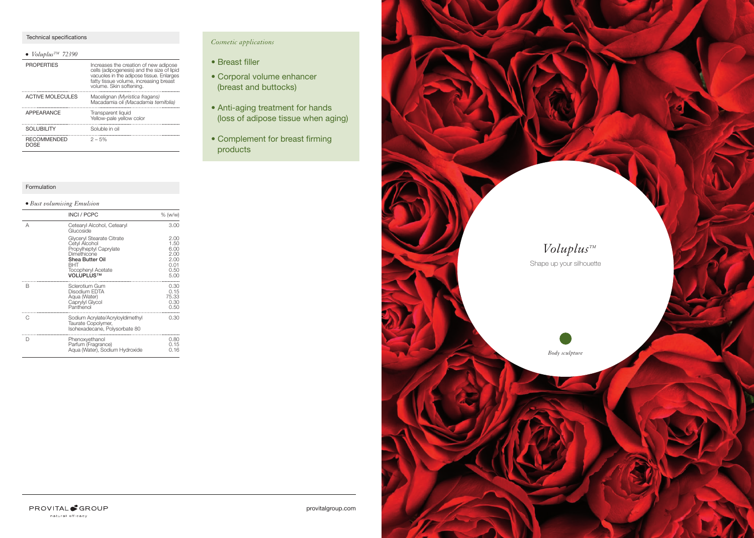#### Technical specifications

| $\bullet$ Voluplus <sup>TM</sup> 72390 |                                                                                                                                                                                                      |
|----------------------------------------|------------------------------------------------------------------------------------------------------------------------------------------------------------------------------------------------------|
| <b>PROPERTIES</b>                      | Increases the creation of new adipose<br>cells (adipogenesis) and the size of lipid<br>vacuoles in the adipose tissue. Enlarges<br>fatty tissue volume, increasing breast<br>volume. Skin softening. |
| <b>ACTIVE MOLECULES</b>                | Macelignan (Myristica fragans)<br>Macadamia oil (Macadamia ternifolia)                                                                                                                               |
| <b>APPEARANCE</b>                      | Transparent liquid<br>Yellow-pale yellow color                                                                                                                                                       |
| <b>SOLUBILITY</b>                      | Soluble in oil                                                                                                                                                                                       |
| <b>RECOMMENDED</b><br>DOSF             | $2 - 5%$                                                                                                                                                                                             |

#### Formulation

### *Bust volumising Emulsion*

|   | <b>INCI / PCPC</b>                                                                                                                                      | % (w/w)                                                      |
|---|---------------------------------------------------------------------------------------------------------------------------------------------------------|--------------------------------------------------------------|
| А | Cetearyl Alcohol, Cetearyl<br>Glucoside                                                                                                                 | 3.00                                                         |
|   | Glyceryl Stearate Citrate<br>Cetyl Alcohol<br>Propylheptyl Caprylate<br>Dimethicone<br>Shea Butter Oil<br>BHT<br><b>Tocopheryl Acetate</b><br>VOLUPLUS™ | 2.00<br>1.50<br>6.00<br>2.00<br>2.00<br>0.01<br>0.50<br>5.00 |
| B | Sclerotium Gum<br>Disodium EDTA<br>Aqua (Water)<br>Caprylyl Glycol<br>Panthenol                                                                         | 0.30<br>0.15<br>75.33<br>0.30<br>0.50                        |
| C | Sodium Acrylate/AcryloyIdimethyl<br>Taurate Copolymer,<br>Isohexadecane, Polysorbate 80                                                                 | 0.30                                                         |
| D | Phenoxyethanol<br>Parfum (Fragrance)<br>Aqua (Water), Sodium Hydroxide                                                                                  | 0.80<br>0.15<br>0.16                                         |

## *Cosmetic applications*

- Breast filler
- Corporal volume enhancer (breast and buttocks)
- Anti-aging treatment for hands (loss of adipose tissue when aging)
- Complement for breast firming products